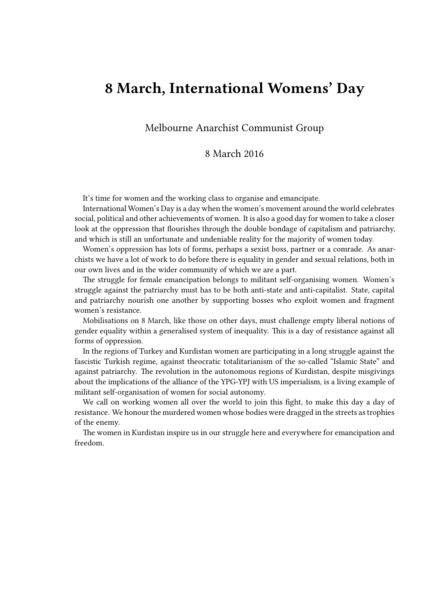## **8 March, International Womens' Day**

## Melbourne Anarchist Communist Group

## 8 March 2016

It's time for women and the working class to organise and emancipate.

International Women's Day is a day when the women's movement around the world celebrates social, political and other achievements of women. It is also a good day for women to take a closer look at the oppression that flourishes through the double bondage of capitalism and patriarchy, and which is still an unfortunate and undeniable reality for the majority of women today.

Women's oppression has lots of forms, perhaps a sexist boss, partner or a comrade. As anarchists we have a lot of work to do before there is equality in gender and sexual relations, both in our own lives and in the wider community of which we are a part.

The struggle for female emancipation belongs to militant self-organising women. Women's struggle against the patriarchy must has to be both anti-state and anti-capitalist. State, capital and patriarchy nourish one another by supporting bosses who exploit women and fragment women's resistance.

Mobilisations on 8 March, like those on other days, must challenge empty liberal notions of gender equality within a generalised system of inequality. This is a day of resistance against all forms of oppression.

In the regions of Turkey and Kurdistan women are participating in a long struggle against the fascistic Turkish regime, against theocratic totalitarianism of the so-called "Islamic State" and against patriarchy. The revolution in the autonomous regions of Kurdistan, despite misgivings about the implications of the alliance of the YPG-YPJ with US imperialism, is a living example of militant self-organisation of women for social autonomy.

We call on working women all over the world to join this fight, to make this day a day of resistance. We honour the murdered women whose bodies were dragged in the streets as trophies of the enemy.

The women in Kurdistan inspire us in our struggle here and everywhere for emancipation and freedom.